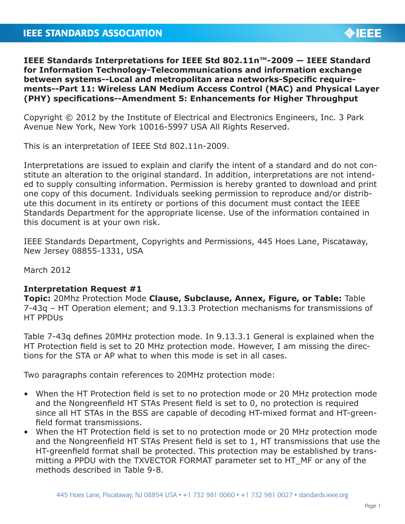## **IEEE STANDARDS ASSOCIATION**



**IEEE Standards Interpretations for IEEE Std 802.11n™-2009 — IEEE Standard for Information Technology-Telecommunications and information exchange between systems--Local and metropolitan area networks-Specific requirements--Part 11: Wireless LAN Medium Access Control (MAC) and Physical Layer (PHY) specifications--Amendment 5: Enhancements for Higher Throughput**

Copyright © 2012 by the Institute of Electrical and Electronics Engineers, Inc. 3 Park Avenue New York, New York 10016-5997 USA All Rights Reserved.

This is an interpretation of IEEE Std 802.11n-2009.

Interpretations are issued to explain and clarify the intent of a standard and do not constitute an alteration to the original standard. In addition, interpretations are not intended to supply consulting information. Permission is hereby granted to download and print one copy of this document. Individuals seeking permission to reproduce and/or distribute this document in its entirety or portions of this document must contact the IEEE Standards Department for the appropriate license. Use of the information contained in this document is at your own risk.

IEEE Standards Department, Copyrights and Permissions, 445 Hoes Lane, Piscataway, New Jersey 08855-1331, USA

March 2012

## **Interpretation Request #1**

**Topic:** 20Mhz Protection Mode **Clause, Subclause, Annex, Figure, or Table:** Table 7-43q – HT Operation element; and 9.13.3 Protection mechanisms for transmissions of HT PPDUs

Table 7-43q defines 20MHz protection mode. In 9.13.3.1 General is explained when the HT Protection field is set to 20 MHz protection mode. However, I am missing the directions for the STA or AP what to when this mode is set in all cases.

Two paragraphs contain references to 20MHz protection mode:

- When the HT Protection field is set to no protection mode or 20 MHz protection mode and the Nongreenfield HT STAs Present field is set to 0, no protection is required since all HT STAs in the BSS are capable of decoding HT-mixed format and HT-greenfield format transmissions.
- When the HT Protection field is set to no protection mode or 20 MHz protection mode and the Nongreenfield HT STAs Present field is set to 1, HT transmissions that use the HT-greenfield format shall be protected. This protection may be established by transmitting a PPDU with the TXVECTOR FORMAT parameter set to HT\_MF or any of the methods described in Table 9-8.